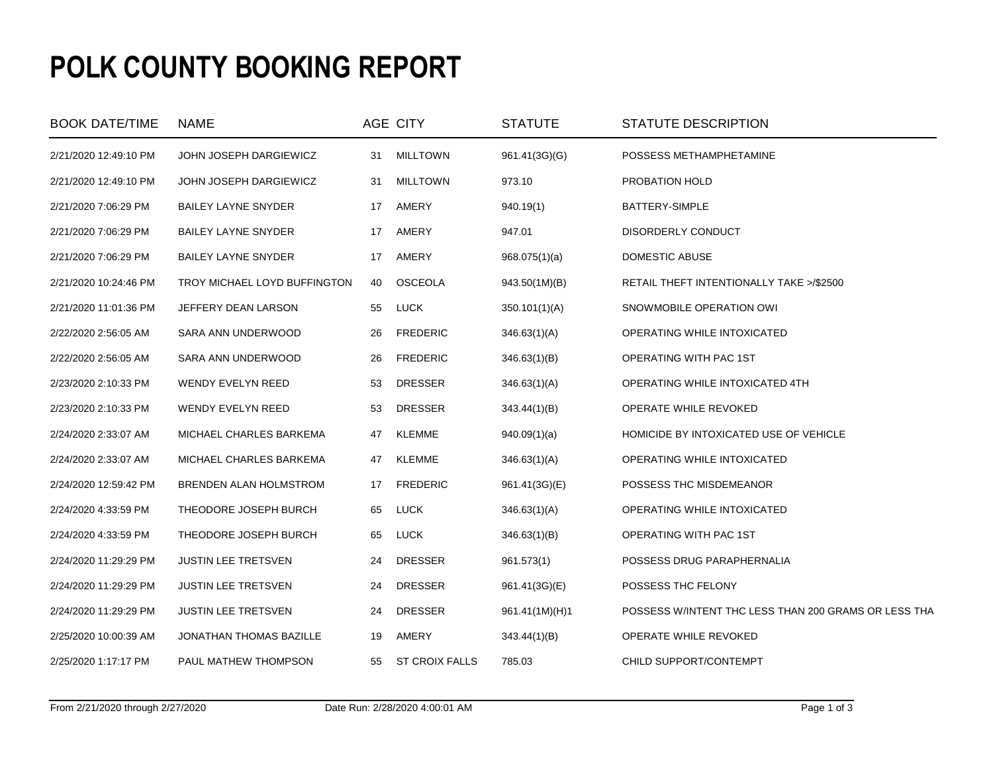## **POLK COUNTY BOOKING REPORT**

| <b>BOOK DATE/TIME</b> | <b>NAME</b>                  |    | AGE CITY              | <b>STATUTE</b> | STATUTE DESCRIPTION                                  |
|-----------------------|------------------------------|----|-----------------------|----------------|------------------------------------------------------|
| 2/21/2020 12:49:10 PM | JOHN JOSEPH DARGIEWICZ       | 31 | <b>MILLTOWN</b>       | 961.41(3G)(G)  | POSSESS METHAMPHETAMINE                              |
| 2/21/2020 12:49:10 PM | JOHN JOSEPH DARGIEWICZ       | 31 | <b>MILLTOWN</b>       | 973.10         | PROBATION HOLD                                       |
| 2/21/2020 7:06:29 PM  | <b>BAILEY LAYNE SNYDER</b>   | 17 | AMERY                 | 940.19(1)      | BATTERY-SIMPLE                                       |
| 2/21/2020 7:06:29 PM  | <b>BAILEY LAYNE SNYDER</b>   | 17 | AMERY                 | 947.01         | DISORDERLY CONDUCT                                   |
| 2/21/2020 7:06:29 PM  | <b>BAILEY LAYNE SNYDER</b>   | 17 | AMERY                 | 968.075(1)(a)  | DOMESTIC ABUSE                                       |
| 2/21/2020 10:24:46 PM | TROY MICHAEL LOYD BUFFINGTON | 40 | <b>OSCEOLA</b>        | 943.50(1M)(B)  | RETAIL THEFT INTENTIONALLY TAKE >/\$2500             |
| 2/21/2020 11:01:36 PM | JEFFERY DEAN LARSON          | 55 | <b>LUCK</b>           | 350.101(1)(A)  | SNOWMOBILE OPERATION OWI                             |
| 2/22/2020 2:56:05 AM  | SARA ANN UNDERWOOD           | 26 | <b>FREDERIC</b>       | 346.63(1)(A)   | OPERATING WHILE INTOXICATED                          |
| 2/22/2020 2:56:05 AM  | SARA ANN UNDERWOOD           | 26 | <b>FREDERIC</b>       | 346.63(1)(B)   | OPERATING WITH PAC 1ST                               |
| 2/23/2020 2:10:33 PM  | <b>WENDY EVELYN REED</b>     | 53 | <b>DRESSER</b>        | 346.63(1)(A)   | OPERATING WHILE INTOXICATED 4TH                      |
| 2/23/2020 2:10:33 PM  | WENDY EVELYN REED            | 53 | <b>DRESSER</b>        | 343.44(1)(B)   | OPERATE WHILE REVOKED                                |
| 2/24/2020 2:33:07 AM  | MICHAEL CHARLES BARKEMA      | 47 | KLEMME                | 940.09(1)(a)   | HOMICIDE BY INTOXICATED USE OF VEHICLE               |
| 2/24/2020 2:33:07 AM  | MICHAEL CHARLES BARKEMA      | 47 | <b>KLEMME</b>         | 346.63(1)(A)   | OPERATING WHILE INTOXICATED                          |
| 2/24/2020 12:59:42 PM | BRENDEN ALAN HOLMSTROM       | 17 | <b>FREDERIC</b>       | 961.41(3G)(E)  | POSSESS THC MISDEMEANOR                              |
| 2/24/2020 4:33:59 PM  | THEODORE JOSEPH BURCH        | 65 | <b>LUCK</b>           | 346.63(1)(A)   | OPERATING WHILE INTOXICATED                          |
| 2/24/2020 4:33:59 PM  | THEODORE JOSEPH BURCH        | 65 | <b>LUCK</b>           | 346.63(1)(B)   | OPERATING WITH PAC 1ST                               |
| 2/24/2020 11:29:29 PM | <b>JUSTIN LEE TRETSVEN</b>   | 24 | <b>DRESSER</b>        | 961.573(1)     | POSSESS DRUG PARAPHERNALIA                           |
| 2/24/2020 11:29:29 PM | <b>JUSTIN LEE TRETSVEN</b>   | 24 | <b>DRESSER</b>        | 961.41(3G)(E)  | POSSESS THC FELONY                                   |
| 2/24/2020 11:29:29 PM | <b>JUSTIN LEE TRETSVEN</b>   | 24 | <b>DRESSER</b>        | 961.41(1M)(H)1 | POSSESS W/INTENT THC LESS THAN 200 GRAMS OR LESS THA |
| 2/25/2020 10:00:39 AM | JONATHAN THOMAS BAZILLE      | 19 | AMERY                 | 343.44(1)(B)   | OPERATE WHILE REVOKED                                |
| 2/25/2020 1:17:17 PM  | PAUL MATHEW THOMPSON         | 55 | <b>ST CROIX FALLS</b> | 785.03         | CHILD SUPPORT/CONTEMPT                               |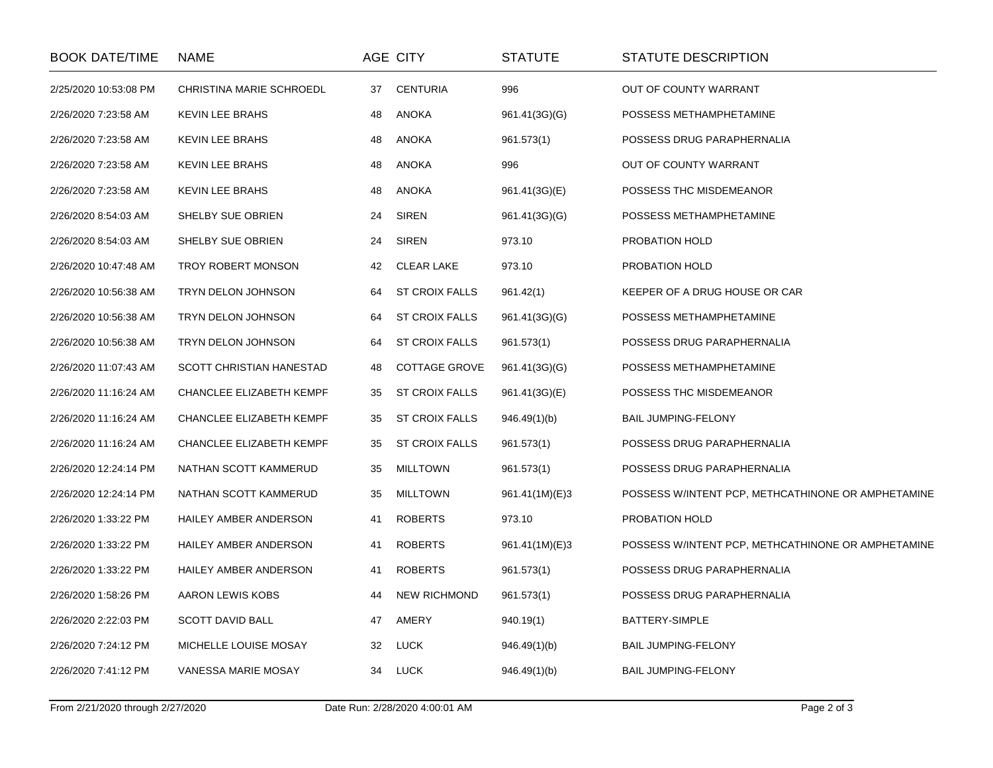| <b>BOOK DATE/TIME</b> | NAME                     |    | AGE CITY              | STATUTE        | STATUTE DESCRIPTION                                |
|-----------------------|--------------------------|----|-----------------------|----------------|----------------------------------------------------|
| 2/25/2020 10:53:08 PM | CHRISTINA MARIE SCHROEDL | 37 | <b>CENTURIA</b>       | 996            | OUT OF COUNTY WARRANT                              |
| 2/26/2020 7:23:58 AM  | <b>KEVIN LEE BRAHS</b>   | 48 | <b>ANOKA</b>          | 961.41(3G)(G)  | POSSESS METHAMPHETAMINE                            |
| 2/26/2020 7:23:58 AM  | <b>KEVIN LEE BRAHS</b>   | 48 | <b>ANOKA</b>          | 961.573(1)     | POSSESS DRUG PARAPHERNALIA                         |
| 2/26/2020 7:23:58 AM  | KEVIN LEE BRAHS          | 48 | <b>ANOKA</b>          | 996            | OUT OF COUNTY WARRANT                              |
| 2/26/2020 7:23:58 AM  | <b>KEVIN LEE BRAHS</b>   | 48 | <b>ANOKA</b>          | 961.41(3G)(E)  | POSSESS THC MISDEMEANOR                            |
| 2/26/2020 8:54:03 AM  | SHELBY SUE OBRIEN        | 24 | <b>SIREN</b>          | 961.41(3G)(G)  | POSSESS METHAMPHETAMINE                            |
| 2/26/2020 8:54:03 AM  | SHELBY SUE OBRIEN        | 24 | <b>SIREN</b>          | 973.10         | PROBATION HOLD                                     |
| 2/26/2020 10:47:48 AM | TROY ROBERT MONSON       | 42 | <b>CLEAR LAKE</b>     | 973.10         | PROBATION HOLD                                     |
| 2/26/2020 10:56:38 AM | TRYN DELON JOHNSON       | 64 | <b>ST CROIX FALLS</b> | 961.42(1)      | KEEPER OF A DRUG HOUSE OR CAR                      |
| 2/26/2020 10:56:38 AM | TRYN DELON JOHNSON       | 64 | <b>ST CROIX FALLS</b> | 961.41(3G)(G)  | POSSESS METHAMPHETAMINE                            |
| 2/26/2020 10:56:38 AM | TRYN DELON JOHNSON       | 64 | <b>ST CROIX FALLS</b> | 961.573(1)     | POSSESS DRUG PARAPHERNALIA                         |
| 2/26/2020 11:07:43 AM | SCOTT CHRISTIAN HANESTAD | 48 | <b>COTTAGE GROVE</b>  | 961.41(3G)(G)  | POSSESS METHAMPHETAMINE                            |
| 2/26/2020 11:16:24 AM | CHANCLEE ELIZABETH KEMPF | 35 | <b>ST CROIX FALLS</b> | 961.41(3G)(E)  | POSSESS THC MISDEMEANOR                            |
| 2/26/2020 11:16:24 AM | CHANCLEE ELIZABETH KEMPF | 35 | <b>ST CROIX FALLS</b> | 946.49(1)(b)   | BAIL JUMPING-FELONY                                |
| 2/26/2020 11:16:24 AM | CHANCLEE ELIZABETH KEMPF | 35 | <b>ST CROIX FALLS</b> | 961.573(1)     | POSSESS DRUG PARAPHERNALIA                         |
| 2/26/2020 12:24:14 PM | NATHAN SCOTT KAMMERUD    | 35 | <b>MILLTOWN</b>       | 961.573(1)     | POSSESS DRUG PARAPHERNALIA                         |
| 2/26/2020 12:24:14 PM | NATHAN SCOTT KAMMERUD    | 35 | <b>MILLTOWN</b>       | 961.41(1M)(E)3 | POSSESS W/INTENT PCP, METHCATHINONE OR AMPHETAMINE |
| 2/26/2020 1:33:22 PM  | HAILEY AMBER ANDERSON    | 41 | <b>ROBERTS</b>        | 973.10         | PROBATION HOLD                                     |
| 2/26/2020 1:33:22 PM  | HAILEY AMBER ANDERSON    | 41 | <b>ROBERTS</b>        | 961.41(1M)(E)3 | POSSESS W/INTENT PCP, METHCATHINONE OR AMPHETAMINE |
| 2/26/2020 1:33:22 PM  | HAILEY AMBER ANDERSON    | 41 | <b>ROBERTS</b>        | 961.573(1)     | POSSESS DRUG PARAPHERNALIA                         |
| 2/26/2020 1:58:26 PM  | AARON LEWIS KOBS         | 44 | <b>NEW RICHMOND</b>   | 961.573(1)     | POSSESS DRUG PARAPHERNALIA                         |
| 2/26/2020 2:22:03 PM  | <b>SCOTT DAVID BALL</b>  | 47 | AMERY                 | 940.19(1)      | BATTERY-SIMPLE                                     |
| 2/26/2020 7:24:12 PM  | MICHELLE LOUISE MOSAY    | 32 | <b>LUCK</b>           | 946.49(1)(b)   | <b>BAIL JUMPING-FELONY</b>                         |
| 2/26/2020 7:41:12 PM  | VANESSA MARIE MOSAY      | 34 | LUCK                  | 946.49(1)(b)   | <b>BAIL JUMPING-FELONY</b>                         |